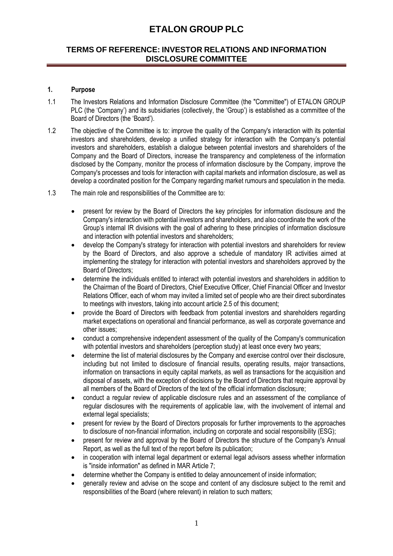## **TERMS OF REFERENCE: INVESTOR RELATIONS AND INFORMATION DISCLOSURE COMMITTEE**

### **1. Purpose**

- 1.1 The Investors Relations and Information Disclosure Committee (the "Committee") of ETALON GROUP PLC (the 'Company') and its subsidiaries (collectively, the 'Group') is established as a committee of the Board of Directors (the 'Board').
- 1.2 The objective of the Committee is to: improve the quality of the Company's interaction with its potential investors and shareholders, develop a unified strategy for interaction with the Company's potential investors and shareholders, establish a dialogue between potential investors and shareholders of the Company and the Board of Directors, increase the transparency and completeness of the information disclosed by the Company, monitor the process of information disclosure by the Company, improve the Company's processes and tools for interaction with capital markets and information disclosure, as well as develop a coordinated position for the Company regarding market rumours and speculation in the media.
- 1.3 The main role and responsibilities of the Committee are to:
	- present for review by the Board of Directors the key principles for information disclosure and the Company's interaction with potential investors and shareholders, and also coordinate the work of the Group's internal IR divisions with the goal of adhering to these principles of information disclosure and interaction with potential investors and shareholders;
	- develop the Company's strategy for interaction with potential investors and shareholders for review by the Board of Directors, and also approve a schedule of mandatory IR activities aimed at implementing the strategy for interaction with potential investors and shareholders approved by the Board of Directors;
	- determine the individuals entitled to interact with potential investors and shareholders in addition to the Chairman of the Board of Directors, Chief Executive Officer, Chief Financial Officer and Investor Relations Officer, each of whom may invited a limited set of people who are their direct subordinates to meetings with investors, taking into account article 2.5 of this document;
	- provide the Board of Directors with feedback from potential investors and shareholders regarding market expectations on operational and financial performance, as well as corporate governance and other issues;
	- conduct a comprehensive independent assessment of the quality of the Company's communication with potential investors and shareholders (perception study) at least once every two years;
	- determine the list of material disclosures by the Company and exercise control over their disclosure, including but not limited to disclosure of financial results, operating results, major transactions, information on transactions in equity capital markets, as well as transactions for the acquisition and disposal of assets, with the exception of decisions by the Board of Directors that require approval by all members of the Board of Directors of the text of the official information disclosure;
	- conduct a regular review of applicable disclosure rules and an assessment of the compliance of regular disclosures with the requirements of applicable law, with the involvement of internal and external legal specialists;
	- present for review by the Board of Directors proposals for further improvements to the approaches to disclosure of non-financial information, including on corporate and social responsibility (ESG);
	- present for review and approval by the Board of Directors the structure of the Company's Annual Report, as well as the full text of the report before its publication;
	- in cooperation with internal legal department or external legal advisors assess whether information is "inside information" as defined in MAR Article 7;
	- determine whether the Company is entitled to delay announcement of inside information;
	- generally review and advise on the scope and content of any disclosure subject to the remit and responsibilities of the Board (where relevant) in relation to such matters;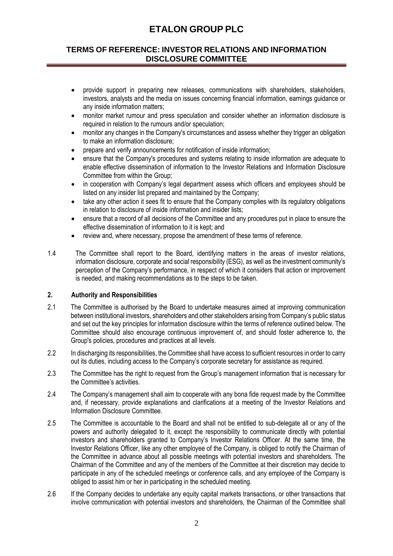## **TERMS OF REFERENCE: INVESTOR RELATIONS AND INFORMATION DISCLOSURE COMMITTEE**

- provide support in preparing new releases, communications with shareholders, stakeholders, investors, analysts and the media on issues concerning financial information, earnings guidance or any inside information matters;
- monitor market rumour and press speculation and consider whether an information disclosure is required in relation to the rumours and/or speculation;
- monitor any changes in the Company's circumstances and assess whether they trigger an obligation to make an information disclosure;
- prepare and verify announcements for notification of inside information;
- ensure that the Company's procedures and systems relating to inside information are adequate to enable effective dissemination of information to the Investor Relations and Information Disclosure Committee from within the Group;
- in cooperation with Company's legal department assess which officers and employees should be listed on any insider list prepared and maintained by the Company;
- take any other action it sees fit to ensure that the Company complies with its regulatory obligations in relation to disclosure of inside information and insider lists;
- ensure that a record of all decisions of the Committee and any procedures put in place to ensure the effective dissemination of information to it is kept; and
- review and, where necessary, propose the amendment of these terms of reference.
- 1.4 The Committee shall report to the Board, identifying matters in the areas of investor relations, information disclosure, corporate and social responsibility (ESG), as well as the investment community's perception of the Company's performance, in respect of which it considers that action or improvement is needed, and making recommendations as to the steps to be taken.

### **2. Authority and Responsibilities**

- 2.1 The Committee is authorised by the Board to undertake measures aimed at improving communication between institutional investors, shareholders and other stakeholders arising from Company's public status and set out the key principles for information disclosure within the terms of reference outlined below. The Committee should also encourage continuous improvement of, and should foster adherence to, the Group's policies, procedures and practices at all levels.
- 2.2 In discharging its responsibilities, the Committee shall have access to sufficient resources in order to carry out its duties, including access to the Company's corporate secretary for assistance as required.
- 2.3 The Committee has the right to request from the Group's management information that is necessary for the Committee's activities.
- 2.4 The Company's management shall aim to cooperate with any bona fide request made by the Committee and, if necessary, provide explanations and clarifications at a meeting of the Investor Relations and Information Disclosure Committee.
- 2.5 The Committee is accountable to the Board and shall not be entitled to sub-delegate all or any of the powers and authority delegated to it, except the responsibility to communicate directly with potential investors and shareholders granted to Company's Investor Relations Officer. At the same time, the Investor Relations Officer, like any other employee of the Company, is obliged to notify the Chairman of the Committee in advance about all possible meetings with potential investors and shareholders. The Chairman of the Committee and any of the members of the Committee at their discretion may decide to participate in any of the scheduled meetings or conference calls, and any employee of the Company is obliged to assist him or her in participating in the scheduled meeting.
- 2.6 If the Company decides to undertake any equity capital markets transactions, or other transactions that involve communication with potential investors and shareholders, the Chairman of the Committee shall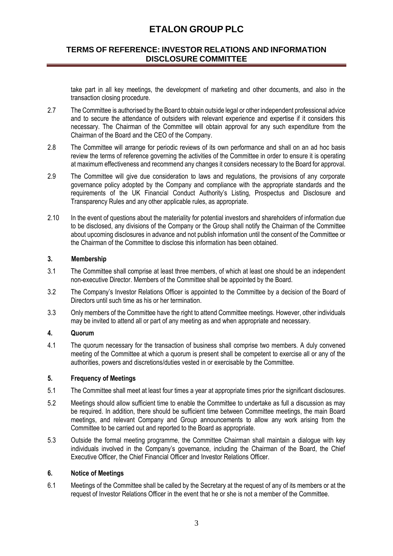## **TERMS OF REFERENCE: INVESTOR RELATIONS AND INFORMATION DISCLOSURE COMMITTEE**

take part in all key meetings, the development of marketing and other documents, and also in the transaction closing procedure.

- 2.7 The Committee is authorised by the Board to obtain outside legal or other independent professional advice and to secure the attendance of outsiders with relevant experience and expertise if it considers this necessary. The Chairman of the Committee will obtain approval for any such expenditure from the Chairman of the Board and the CEO of the Company.
- 2.8 The Committee will arrange for periodic reviews of its own performance and shall on an ad hoc basis review the terms of reference governing the activities of the Committee in order to ensure it is operating at maximum effectiveness and recommend any changes it considers necessary to the Board for approval.
- 2.9 The Committee will give due consideration to laws and regulations, the provisions of any corporate governance policy adopted by the Company and compliance with the appropriate standards and the requirements of the UK Financial Conduct Authority's Listing, Prospectus and Disclosure and Transparency Rules and any other applicable rules, as appropriate.
- 2.10 In the event of questions about the materiality for potential investors and shareholders of information due to be disclosed, any divisions of the Company or the Group shall notify the Chairman of the Committee about upcoming disclosures in advance and not publish information until the consent of the Committee or the Chairman of the Committee to disclose this information has been obtained.

### **3. Membership**

- 3.1 The Committee shall comprise at least three members, of which at least one should be an independent non-executive Director. Members of the Committee shall be appointed by the Board.
- 3.2 The Company's Investor Relations Officer is appointed to the Committee by a decision of the Board of Directors until such time as his or her termination.
- 3.3 Only members of the Committee have the right to attend Committee meetings. However, other individuals may be invited to attend all or part of any meeting as and when appropriate and necessary.

### **4. Quorum**

4.1 The quorum necessary for the transaction of business shall comprise two members. A duly convened meeting of the Committee at which a quorum is present shall be competent to exercise all or any of the authorities, powers and discretions/duties vested in or exercisable by the Committee.

### **5. Frequency of Meetings**

- 5.1 The Committee shall meet at least four times a year at appropriate times prior the significant disclosures.
- 5.2 Meetings should allow sufficient time to enable the Committee to undertake as full a discussion as may be required. In addition, there should be sufficient time between Committee meetings, the main Board meetings, and relevant Company and Group announcements to allow any work arising from the Committee to be carried out and reported to the Board as appropriate.
- 5.3 Outside the formal meeting programme, the Committee Chairman shall maintain a dialogue with key individuals involved in the Company's governance, including the Chairman of the Board, the Chief Executive Officer, the Chief Financial Officer and Investor Relations Officer.

### **6. Notice of Meetings**

6.1 Meetings of the Committee shall be called by the Secretary at the request of any of its members or at the request of Investor Relations Officer in the event that he or she is not a member of the Committee.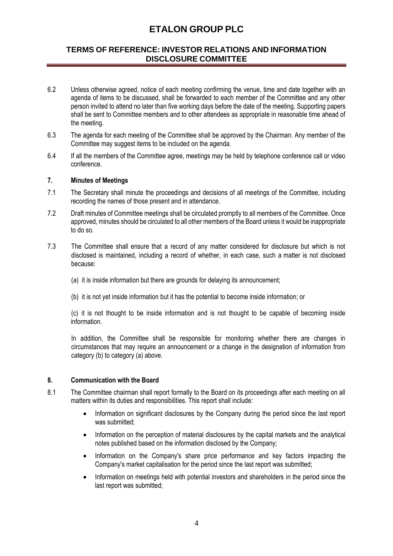## **TERMS OF REFERENCE: INVESTOR RELATIONS AND INFORMATION DISCLOSURE COMMITTEE**

- 6.2 Unless otherwise agreed, notice of each meeting confirming the venue, time and date together with an agenda of items to be discussed, shall be forwarded to each member of the Committee and any other person invited to attend no later than five working days before the date of the meeting. Supporting papers shall be sent to Committee members and to other attendees as appropriate in reasonable time ahead of the meeting.
- 6.3 The agenda for each meeting of the Committee shall be approved by the Chairman. Any member of the Committee may suggest items to be included on the agenda.
- 6.4 If all the members of the Committee agree, meetings may be held by telephone conference call or video conference.

#### **7. Minutes of Meetings**

- 7.1 The Secretary shall minute the proceedings and decisions of all meetings of the Committee, including recording the names of those present and in attendance.
- 7.2 Draft minutes of Committee meetings shall be circulated promptly to all members of the Committee. Once approved, minutes should be circulated to all other members of the Board unless it would be inappropriate to do so.
- 7.3 The Committee shall ensure that a record of any matter considered for disclosure but which is not disclosed is maintained, including a record of whether, in each case, such a matter is not disclosed because:
	- (a) it is inside information but there are grounds for delaying its announcement;
	- (b) it is not yet inside information but it has the potential to become inside information; or

(c) it is not thought to be inside information and is not thought to be capable of becoming inside information.

In addition, the Committee shall be responsible for monitoring whether there are changes in circumstances that may require an announcement or a change in the designation of information from category (b) to category (a) above.

### **8. Communication with the Board**

- 8.1 The Committee chairman shall report formally to the Board on its proceedings after each meeting on all matters within its duties and responsibilities. This report shall include:
	- Information on significant disclosures by the Company during the period since the last report was submitted:
	- Information on the perception of material disclosures by the capital markets and the analytical notes published based on the information disclosed by the Company;
	- Information on the Company's share price performance and key factors impacting the Company's market capitalisation for the period since the last report was submitted;
	- Information on meetings held with potential investors and shareholders in the period since the last report was submitted;